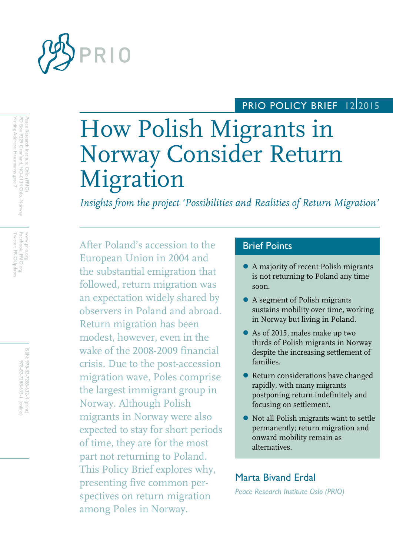

# PRIO POLICY BRIEF 12 2015

# How Polish Migrants in Norway Consider Return Migration

*Insights from the project 'Possibilities and Realities of Return Migration'* 

After Poland's accession to the European Union in 2004 and the substantial emigration that followed, return migration was an expectation widely shared by observers in Poland and abroad. Return migration has been modest, however, even in the wake of the 2008-2009 financial crisis. Due to the post-accession migration wave, Poles comprise the largest immigrant group in Norway. Although Polish migrants in Norway were also expected to stay for short periods of time, they are for the most part not returning to Poland. This Policy Brief explores why, presenting five common perspectives on return migration among Poles in Norway.

# Brief Points

- A majority of recent Polish migrants is not returning to Poland any time soon.
- A segment of Polish migrants sustains mobility over time, working in Norway but living in Poland.
- As of 2015, males make up two thirds of Polish migrants in Norway despite the increasing settlement of families.
- Return considerations have changed rapidly, with many migrants postponing return indefinitely and focusing on settlement.
- Not all Polish migrants want to settle permanently; return migration and onward mobility remain as alternatives.

# Marta Bivand Erdal

*Peace Research Institute Oslo (PRIO)*

www.prio.org<br>Facebook: PRIO.org<br>Twitter: PRIOUpdates Twitter: PRIOUpdates www.prio.org Facebook: PRIO.org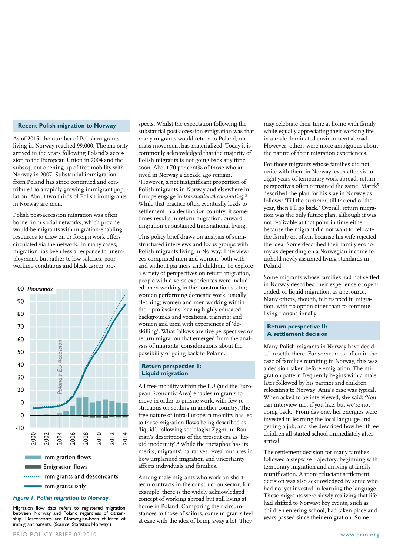#### **Recent Polish migration to Norway**

As of 2015, the number of Polish migrants living in Norway reached 99,000. The majority arrived in the years following Poland's accession to the European Union in 2004 and the subsequent opening up of free mobility with Norway in 2007. Substantial immigration from Poland has since continued and contributed to a rapidly growing immigrant population. About two thirds of Polish immigrants in Norway are men.

Polish post-accession migration was often borne from social networks, which provide would-be migrants with migration-enabling resources to draw on or foreign work offers circulated via the network. In many cases, migration has been less a response to unemployment, but rather to low salaries, poor working conditions and bleak career pro-



#### *Figure 1. Polish migration to Norway.*

Migration flow data refers to registered migration between Norway and Poland regardless of citizenship. Descendants are Norwegian-born children of immigrant parents. (Source: Statistics Norway.)

spects. Whilst the expectation following the substantial post-accession emigration was that many migrants would return to Poland, no mass movement has materialized. Today it is commonly acknowledged that the majority of Polish migrants is not going back any time soon. About 70 per cent% of those who arrived in Norway a decade ago remain.<sup>1</sup> 2However, a not insignificant proportion of Polish migrants in Norway and elsewhere in Europe engage in *transnational commuting.*<sup>3</sup> While that practice often eventually leads to settlement in a destination country, it sometimes results in return migration, onward migration or sustained transnational living.

This policy brief draws on analysis of semistructured interviews and focus groups with Polish migrants living in Norway. Interviewees comprised men and women, both with and without partners and children. To explore a variety of perspectives on return migration, people with diverse experiences were included: men working in the construction sector; women performing domestic work, usually cleaning; women and men working within their professions, having highly educated backgrounds and vocational training; and women and men with experiences of 'deskilling'. What follows are five perspectives on return migration that emerged from the analysis of migrants' considerations about the possibility of going back to Poland.

#### **Return perspective 1: Liquid migration**

All free mobility within the EU (and the European Economic Area) enables migrants to move in order to pursue work, with few restrictions on settling in another country. The free nature of intra-European mobility has led to these migration flows being described as 'liquid', following sociologist Zygmunt Bauman's descriptions of the present era as 'liquid modernity'.4 While the metaphor has its merits, migrants' narratives reveal nuances in how unplanned migration and uncertainty affects individuals and families.

Among male migrants who work on shortterm contracts in the construction sector, for example, there is the widely acknowledged concept of working abroad but still living at home in Poland. Comparing their circumstances to those of sailors, some migrants feel at ease with the idea of being away a lot. They

may celebrate their time at home with family while equally appreciating their working life in a male-dominated environment abroad. However, others were more ambiguous about the nature of their migration experiences.

For those migrants whose families did not unite with them in Norway, even after six to eight years of temporary work abroad, return perspectives often remained the same. Marek<sup>5</sup> described the plan for his stay in Norway as follows: 'Till the summer, till the end of the year, then I'll go back.' Overall, return migration was the only future plan, although it was not realizable at that point in time either because the migrant did not want to relocate the family or, often, because his wife rejected the idea. Some described their family economy as depending on a Norwegian income to uphold newly assumed living standards in Poland.

Some migrants whose families had not settled in Norway described their experience of openended, or liquid migration, as a resource. Many others, though, felt trapped in migration, with no option other than to continue living transnationally.

#### **Return perspective II: A settlement decision**

Many Polish migrants in Norway have decided to settle there. For some, most often in the case of families reuniting in Norway, this was a decision taken before emigration. The migration pattern frequently begins with a male, later followed by his partner and children relocating to Norway. Ania's case was typical. When asked to be interviewed, she said: 'You can interview me, if you like, but we're not going back.' From day one, her energies were invested in learning the local language and getting a job, and she described how her three children all started school immediately after arrival.

The settlement decision for many families followed a stepwise trajectory, beginning with temporary migration and arriving at family reunification. A more reluctant settlement decision was also acknowledged by some who had not yet invested in learning the language. These migrants were slowly realizing that life had shifted to Norway; key events, such as children entering school, had taken place and years passed since their emigration. Some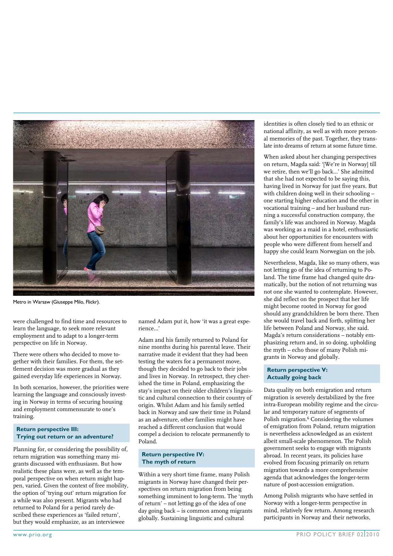

Metro in Warsaw (Giuseppe Milo, Flickr).

were challenged to find time and resources to learn the language, to seek more relevant employment and to adapt to a longer-term perspective on life in Norway.

There were others who decided to move together with their families. For them, the settlement decision was more gradual as they gained everyday life experiences in Norway.

In both scenarios, however, the priorities were learning the language and consciously investing in Norway in terms of securing housing and employment commensurate to one's training.

#### **Return perspective III: Trying out return or an adventure?**

Planning for, or considering the possibility of, return migration was something many migrants discussed with enthusiasm. But how realistic these plans were, as well as the temporal perspective on when return might happen, varied. Given the context of free mobility, the option of 'trying out' return migration for a while was also present. Migrants who had returned to Poland for a period rarely described these experiences as 'failed return', but they would emphasize, as an interviewee

named Adam put it, how 'it was a great experience…'

Adam and his family returned to Poland for nine months during his parental leave. Their narrative made it evident that they had been testing the waters for a permanent move, though they decided to go back to their jobs and lives in Norway. In retrospect, they cherished the time in Poland, emphasizing the stay's impact on their older children's linguistic and cultural connection to their country of origin. Whilst Adam and his family settled back in Norway and saw their time in Poland as an adventure, other families might have reached a different conclusion that would compel a decision to relocate permanently to Poland.

#### **Return perspective IV: The myth of return**

Within a very short time frame, many Polish migrants in Norway have changed their perspectives on return migration from being something imminent to long-term. The 'myth of return' – not letting go of the idea of one day going back – is common among migrants globally. Sustaining linguistic and cultural

identities is often closely tied to an ethnic or national affinity, as well as with more personal memories of the past. Together, they translate into dreams of return at some future time.

When asked about her changing perspectives on return, Magda said: '[We're in Norway] till we retire, then we'll go back…' She admitted that she had not expected to be saying this, having lived in Norway for just five years. But with children doing well in their schooling – one starting higher education and the other in vocational training – and her husband running a successful construction company, the family's life was anchored in Norway. Magda was working as a maid in a hotel, enthusiastic about her opportunities for encounters with people who were different from herself and happy she could learn Norwegian on the job.

Nevertheless, Magda, like so many others, was not letting go of the idea of returning to Poland. The time frame had changed quite dramatically, but the notion of not returning was not one she wanted to contemplate. However, she did reflect on the prospect that her life might become rooted in Norway for good should any grandchildren be born there. Then she would travel back and forth, splitting her life between Poland and Norway, she said. Magda's return considerations – notably emphasizing return and, in so doing, upholding the myth – echo those of many Polish migrants in Norway and globally.

## **Return perspective V: Actually going back**

Data quality on both emigration and return migration is severely destabilized by the free intra-European mobility regime and the circular and temporary nature of segments of Polish migration.6 Considering the volumes of emigration from Poland, return migration is nevertheless acknowledged as an existent albeit small-scale phenomenon. The Polish government seeks to engage with migrants abroad. In recent years, its policies have evolved from focusing primarily on return migration towards a more comprehensive agenda that acknowledges the longer-term nature of post-accession emigration.

Among Polish migrants who have settled in Norway with a longer-term perspective in mind, relatively few return. Among research participants in Norway and their networks,